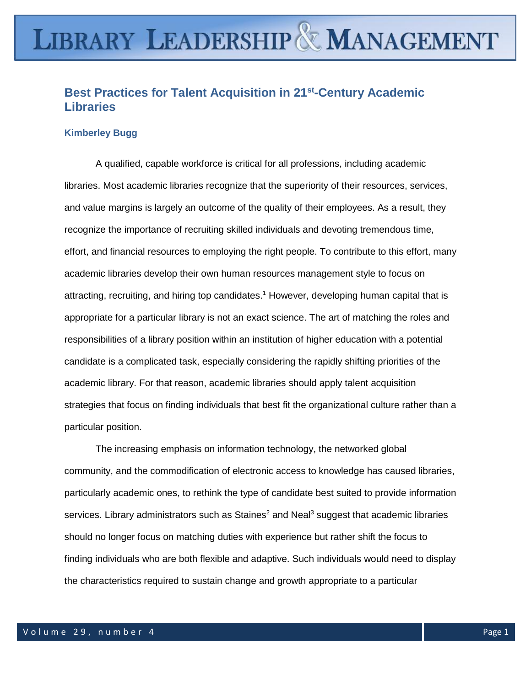# **LIBRARY LEADERSHIP & MANAGEMENT**

# **Best Practices for Talent Acquisition in 21st -Century Academic Libraries**

## **Kimberley Bugg**

A qualified, capable workforce is critical for all professions, including academic libraries. Most academic libraries recognize that the superiority of their resources, services, and value margins is largely an outcome of the quality of their employees. As a result, they recognize the importance of recruiting skilled individuals and devoting tremendous time, effort, and financial resources to employing the right people. To contribute to this effort, many academic libraries develop their own human resources management style to focus on attracting, recruiting, and hiring top candidates.<sup>1</sup> However, developing human capital that is appropriate for a particular library is not an exact science. The art of matching the roles and responsibilities of a library position within an institution of higher education with a potential candidate is a complicated task, especially considering the rapidly shifting priorities of the academic library. For that reason, academic libraries should apply talent acquisition strategies that focus on finding individuals that best fit the organizational culture rather than a particular position.

The increasing emphasis on information technology, the networked global community, and the commodification of electronic access to knowledge has caused libraries, particularly academic ones, to rethink the type of candidate best suited to provide information services. Library administrators such as Staines<sup>2</sup> and Neal<sup>3</sup> suggest that academic libraries should no longer focus on matching duties with experience but rather shift the focus to finding individuals who are both flexible and adaptive. Such individuals would need to display the characteristics required to sustain change and growth appropriate to a particular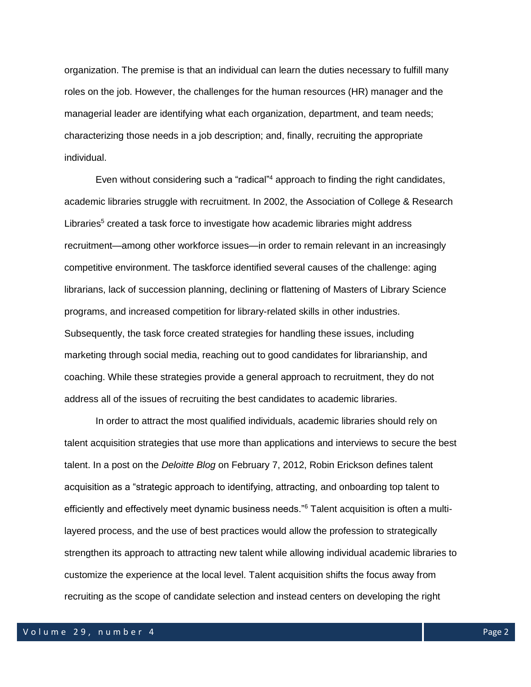organization. The premise is that an individual can learn the duties necessary to fulfill many roles on the job. However, the challenges for the human resources (HR) manager and the managerial leader are identifying what each organization, department, and team needs; characterizing those needs in a job description; and, finally, recruiting the appropriate individual.

Even without considering such a "radical"<sup>4</sup> approach to finding the right candidates, academic libraries struggle with recruitment. In 2002, the Association of College & Research Libraries<sup>5</sup> created a task force to investigate how academic libraries might address recruitment—among other workforce issues—in order to remain relevant in an increasingly competitive environment. The taskforce identified several causes of the challenge: aging librarians, lack of succession planning, declining or flattening of Masters of Library Science programs, and increased competition for library-related skills in other industries. Subsequently, the task force created strategies for handling these issues, including marketing through social media, reaching out to good candidates for librarianship, and coaching. While these strategies provide a general approach to recruitment, they do not address all of the issues of recruiting the best candidates to academic libraries.

In order to attract the most qualified individuals, academic libraries should rely on talent acquisition strategies that use more than applications and interviews to secure the best talent. In a post on the *Deloitte Blog* on February 7, 2012, Robin Erickson defines talent acquisition as a "strategic approach to identifying, attracting, and onboarding top talent to efficiently and effectively meet dynamic business needs."<sup>6</sup> Talent acquisition is often a multilayered process, and the use of best practices would allow the profession to strategically strengthen its approach to attracting new talent while allowing individual academic libraries to customize the experience at the local level. Talent acquisition shifts the focus away from recruiting as the scope of candidate selection and instead centers on developing the right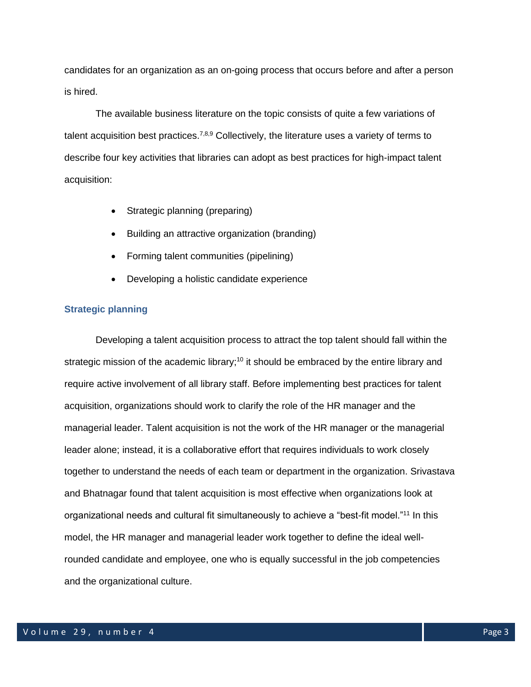candidates for an organization as an on-going process that occurs before and after a person is hired.

The available business literature on the topic consists of quite a few variations of talent acquisition best practices.<sup>7,8,9</sup> Collectively, the literature uses a variety of terms to describe four key activities that libraries can adopt as best practices for high-impact talent acquisition:

- Strategic planning (preparing)
- Building an attractive organization (branding)
- Forming talent communities (pipelining)
- Developing a holistic candidate experience

# **Strategic planning**

Developing a talent acquisition process to attract the top talent should fall within the strategic mission of the academic library;<sup>10</sup> it should be embraced by the entire library and require active involvement of all library staff. Before implementing best practices for talent acquisition, organizations should work to clarify the role of the HR manager and the managerial leader. Talent acquisition is not the work of the HR manager or the managerial leader alone; instead, it is a collaborative effort that requires individuals to work closely together to understand the needs of each team or department in the organization. Srivastava and Bhatnagar found that talent acquisition is most effective when organizations look at organizational needs and cultural fit simultaneously to achieve a "best-fit model."<sup>11</sup> In this model, the HR manager and managerial leader work together to define the ideal wellrounded candidate and employee, one who is equally successful in the job competencies and the organizational culture.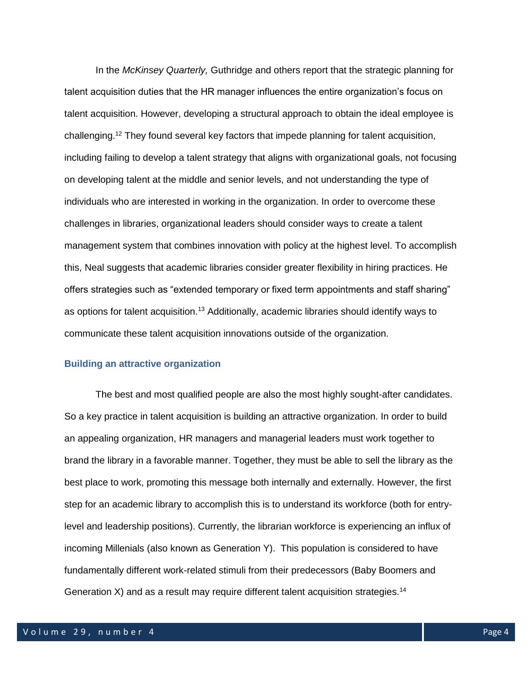In the *McKinsey Quarterly,* Guthridge and others report that the strategic planning for talent acquisition duties that the HR manager influences the entire organization's focus on talent acquisition. However, developing a structural approach to obtain the ideal employee is challenging.<sup>12</sup> They found several key factors that impede planning for talent acquisition, including failing to develop a talent strategy that aligns with organizational goals, not focusing on developing talent at the middle and senior levels, and not understanding the type of individuals who are interested in working in the organization. In order to overcome these challenges in libraries, organizational leaders should consider ways to create a talent management system that combines innovation with policy at the highest level. To accomplish this, Neal suggests that academic libraries consider greater flexibility in hiring practices. He offers strategies such as "extended temporary or fixed term appointments and staff sharing" as options for talent acquisition.<sup>13</sup> Additionally, academic libraries should identify ways to communicate these talent acquisition innovations outside of the organization.

#### **Building an attractive organization**

The best and most qualified people are also the most highly sought-after candidates. So a key practice in talent acquisition is building an attractive organization. In order to build an appealing organization, HR managers and managerial leaders must work together to brand the library in a favorable manner. Together, they must be able to sell the library as the best place to work, promoting this message both internally and externally. However, the first step for an academic library to accomplish this is to understand its workforce (both for entrylevel and leadership positions). Currently, the librarian workforce is experiencing an influx of incoming Millenials (also known as Generation Y). This population is considered to have fundamentally different work-related stimuli from their predecessors (Baby Boomers and Generation X) and as a result may require different talent acquisition strategies.<sup>14</sup>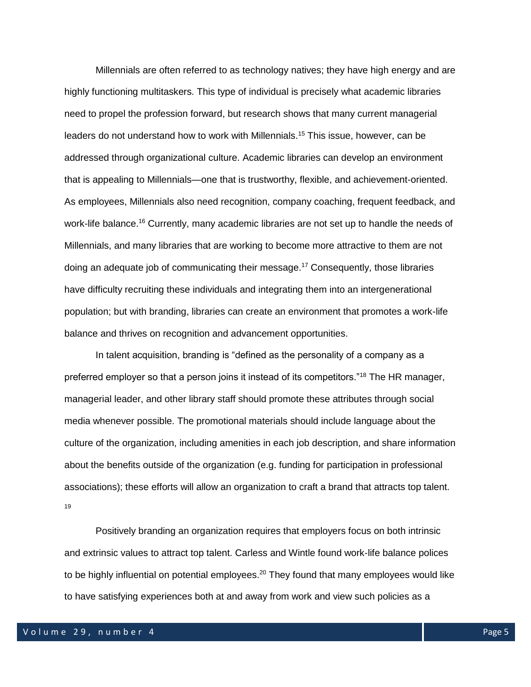Millennials are often referred to as technology natives; they have high energy and are highly functioning multitaskers. This type of individual is precisely what academic libraries need to propel the profession forward, but research shows that many current managerial leaders do not understand how to work with Millennials.<sup>15</sup> This issue, however, can be addressed through organizational culture. Academic libraries can develop an environment that is appealing to Millennials—one that is trustworthy, flexible, and achievement-oriented. As employees, Millennials also need recognition, company coaching, frequent feedback, and work-life balance.<sup>16</sup> Currently, many academic libraries are not set up to handle the needs of Millennials, and many libraries that are working to become more attractive to them are not doing an adequate job of communicating their message.<sup>17</sup> Consequently, those libraries have difficulty recruiting these individuals and integrating them into an intergenerational population; but with branding, libraries can create an environment that promotes a work-life balance and thrives on recognition and advancement opportunities.

In talent acquisition, branding is "defined as the personality of a company as a preferred employer so that a person joins it instead of its competitors."<sup>18</sup> The HR manager, managerial leader, and other library staff should promote these attributes through social media whenever possible. The promotional materials should include language about the culture of the organization, including amenities in each job description, and share information about the benefits outside of the organization (e.g. funding for participation in professional associations); these efforts will allow an organization to craft a brand that attracts top talent. 19

Positively branding an organization requires that employers focus on both intrinsic and extrinsic values to attract top talent. Carless and Wintle found work-life balance polices to be highly influential on potential employees.<sup>20</sup> They found that many employees would like to have satisfying experiences both at and away from work and view such policies as a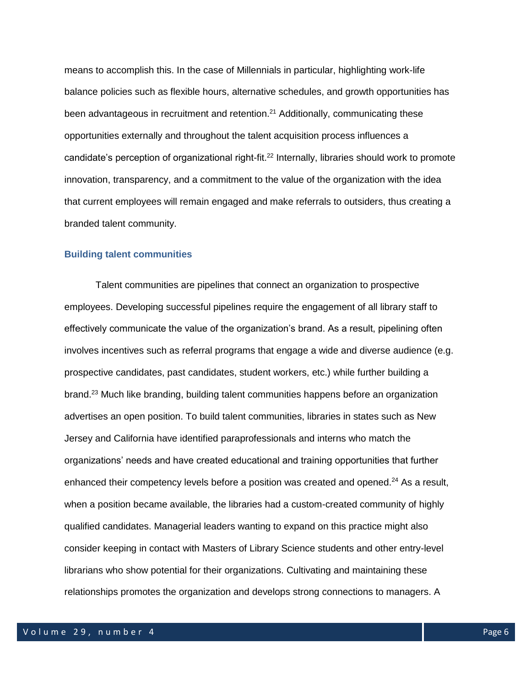means to accomplish this. In the case of Millennials in particular, highlighting work-life balance policies such as flexible hours, alternative schedules, and growth opportunities has been advantageous in recruitment and retention.<sup>21</sup> Additionally, communicating these opportunities externally and throughout the talent acquisition process influences a candidate's perception of organizational right-fit.<sup>22</sup> Internally, libraries should work to promote innovation, transparency, and a commitment to the value of the organization with the idea that current employees will remain engaged and make referrals to outsiders, thus creating a branded talent community.

#### **Building talent communities**

Talent communities are pipelines that connect an organization to prospective employees. Developing successful pipelines require the engagement of all library staff to effectively communicate the value of the organization's brand. As a result, pipelining often involves incentives such as referral programs that engage a wide and diverse audience (e.g. prospective candidates, past candidates, student workers, etc.) while further building a brand.<sup>23</sup> Much like branding, building talent communities happens before an organization advertises an open position. To build talent communities, libraries in states such as New Jersey and California have identified paraprofessionals and interns who match the organizations' needs and have created educational and training opportunities that further enhanced their competency levels before a position was created and opened.<sup>24</sup> As a result, when a position became available, the libraries had a custom-created community of highly qualified candidates. Managerial leaders wanting to expand on this practice might also consider keeping in contact with Masters of Library Science students and other entry-level librarians who show potential for their organizations. Cultivating and maintaining these relationships promotes the organization and develops strong connections to managers. A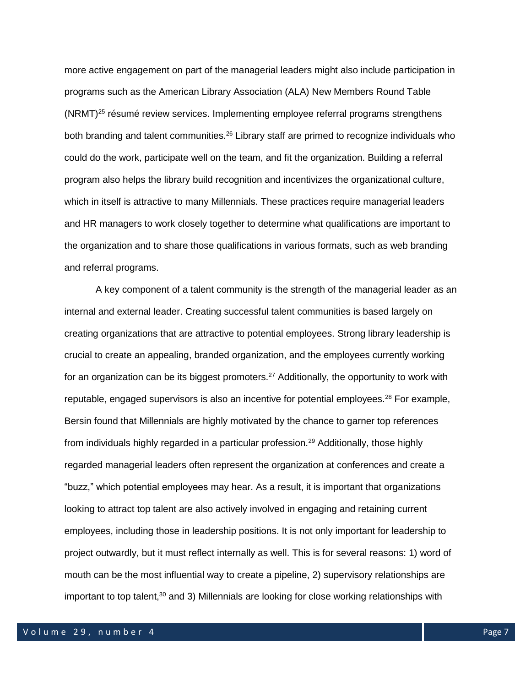more active engagement on part of the managerial leaders might also include participation in programs such as the American Library Association (ALA) New Members Round Table  $(NRMT)^{25}$  résumé review services. Implementing employee referral programs strengthens both branding and talent communities.<sup>26</sup> Library staff are primed to recognize individuals who could do the work, participate well on the team, and fit the organization. Building a referral program also helps the library build recognition and incentivizes the organizational culture, which in itself is attractive to many Millennials. These practices require managerial leaders and HR managers to work closely together to determine what qualifications are important to the organization and to share those qualifications in various formats, such as web branding and referral programs.

A key component of a talent community is the strength of the managerial leader as an internal and external leader. Creating successful talent communities is based largely on creating organizations that are attractive to potential employees. Strong library leadership is crucial to create an appealing, branded organization, and the employees currently working for an organization can be its biggest promoters.<sup>27</sup> Additionally, the opportunity to work with reputable, engaged supervisors is also an incentive for potential employees.<sup>28</sup> For example, Bersin found that Millennials are highly motivated by the chance to garner top references from individuals highly regarded in a particular profession.<sup>29</sup> Additionally, those highly regarded managerial leaders often represent the organization at conferences and create a "buzz," which potential employees may hear. As a result, it is important that organizations looking to attract top talent are also actively involved in engaging and retaining current employees, including those in leadership positions. It is not only important for leadership to project outwardly, but it must reflect internally as well. This is for several reasons: 1) word of mouth can be the most influential way to create a pipeline, 2) supervisory relationships are important to top talent,<sup>30</sup> and 3) Millennials are looking for close working relationships with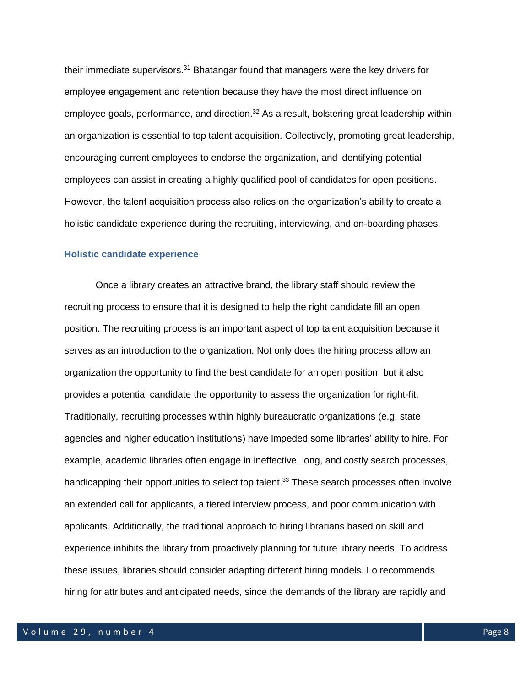their immediate supervisors.<sup>31</sup> Bhatangar found that managers were the key drivers for employee engagement and retention because they have the most direct influence on employee goals, performance, and direction.<sup>32</sup> As a result, bolstering great leadership within an organization is essential to top talent acquisition. Collectively, promoting great leadership, encouraging current employees to endorse the organization, and identifying potential employees can assist in creating a highly qualified pool of candidates for open positions. However, the talent acquisition process also relies on the organization's ability to create a holistic candidate experience during the recruiting, interviewing, and on-boarding phases.

#### **Holistic candidate experience**

Once a library creates an attractive brand, the library staff should review the recruiting process to ensure that it is designed to help the right candidate fill an open position. The recruiting process is an important aspect of top talent acquisition because it serves as an introduction to the organization. Not only does the hiring process allow an organization the opportunity to find the best candidate for an open position, but it also provides a potential candidate the opportunity to assess the organization for right-fit. Traditionally, recruiting processes within highly bureaucratic organizations (e.g. state agencies and higher education institutions) have impeded some libraries' ability to hire. For example, academic libraries often engage in ineffective, long, and costly search processes, handicapping their opportunities to select top talent.<sup>33</sup> These search processes often involve an extended call for applicants, a tiered interview process, and poor communication with applicants. Additionally, the traditional approach to hiring librarians based on skill and experience inhibits the library from proactively planning for future library needs. To address these issues, libraries should consider adapting different hiring models. Lo recommends hiring for attributes and anticipated needs, since the demands of the library are rapidly and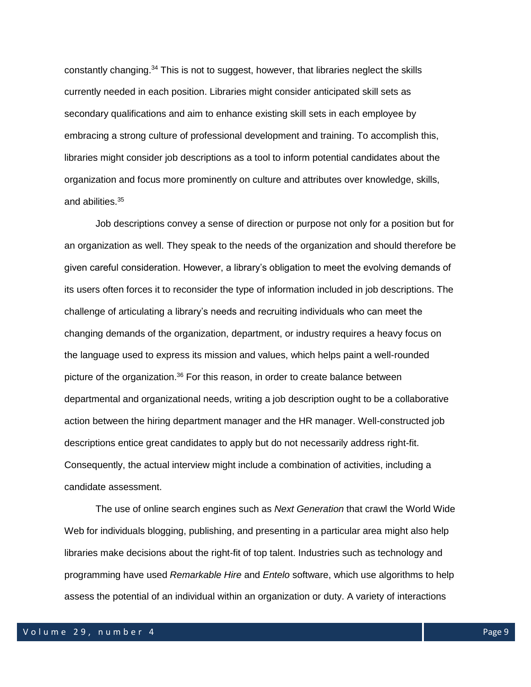constantly changing.<sup>34</sup> This is not to suggest, however, that libraries neglect the skills currently needed in each position. Libraries might consider anticipated skill sets as secondary qualifications and aim to enhance existing skill sets in each employee by embracing a strong culture of professional development and training. To accomplish this, libraries might consider job descriptions as a tool to inform potential candidates about the organization and focus more prominently on culture and attributes over knowledge, skills, and abilities.<sup>35</sup>

Job descriptions convey a sense of direction or purpose not only for a position but for an organization as well. They speak to the needs of the organization and should therefore be given careful consideration. However, a library's obligation to meet the evolving demands of its users often forces it to reconsider the type of information included in job descriptions. The challenge of articulating a library's needs and recruiting individuals who can meet the changing demands of the organization, department, or industry requires a heavy focus on the language used to express its mission and values, which helps paint a well-rounded picture of the organization.<sup>36</sup> For this reason, in order to create balance between departmental and organizational needs, writing a job description ought to be a collaborative action between the hiring department manager and the HR manager. Well-constructed job descriptions entice great candidates to apply but do not necessarily address right-fit. Consequently, the actual interview might include a combination of activities, including a candidate assessment.

The use of online search engines such as *Next Generation* that crawl the World Wide Web for individuals blogging, publishing, and presenting in a particular area might also help libraries make decisions about the right-fit of top talent. Industries such as technology and programming have used *Remarkable Hire* and *Entelo* software, which use algorithms to help assess the potential of an individual within an organization or duty. A variety of interactions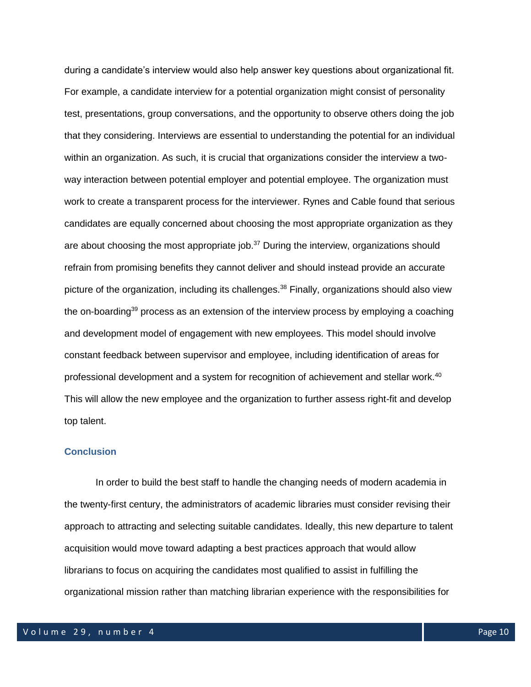during a candidate's interview would also help answer key questions about organizational fit. For example, a candidate interview for a potential organization might consist of personality test, presentations, group conversations, and the opportunity to observe others doing the job that they considering. Interviews are essential to understanding the potential for an individual within an organization. As such, it is crucial that organizations consider the interview a twoway interaction between potential employer and potential employee. The organization must work to create a transparent process for the interviewer. Rynes and Cable found that serious candidates are equally concerned about choosing the most appropriate organization as they are about choosing the most appropriate job.<sup>37</sup> During the interview, organizations should refrain from promising benefits they cannot deliver and should instead provide an accurate picture of the organization, including its challenges.<sup>38</sup> Finally, organizations should also view the on-boarding<sup>39</sup> process as an extension of the interview process by employing a coaching and development model of engagement with new employees. This model should involve constant feedback between supervisor and employee, including identification of areas for professional development and a system for recognition of achievement and stellar work.<sup>40</sup> This will allow the new employee and the organization to further assess right-fit and develop top talent.

#### **Conclusion**

In order to build the best staff to handle the changing needs of modern academia in the twenty-first century, the administrators of academic libraries must consider revising their approach to attracting and selecting suitable candidates. Ideally, this new departure to talent acquisition would move toward adapting a best practices approach that would allow librarians to focus on acquiring the candidates most qualified to assist in fulfilling the organizational mission rather than matching librarian experience with the responsibilities for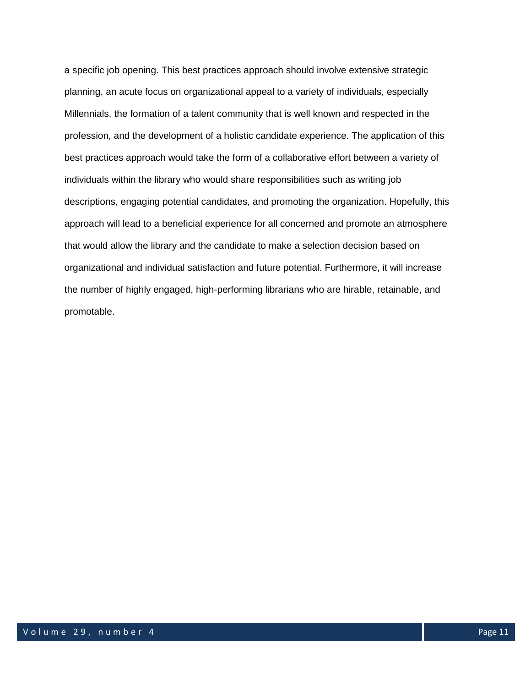a specific job opening. This best practices approach should involve extensive strategic planning, an acute focus on organizational appeal to a variety of individuals, especially Millennials, the formation of a talent community that is well known and respected in the profession, and the development of a holistic candidate experience. The application of this best practices approach would take the form of a collaborative effort between a variety of individuals within the library who would share responsibilities such as writing job descriptions, engaging potential candidates, and promoting the organization. Hopefully, this approach will lead to a beneficial experience for all concerned and promote an atmosphere that would allow the library and the candidate to make a selection decision based on organizational and individual satisfaction and future potential. Furthermore, it will increase the number of highly engaged, high-performing librarians who are hirable, retainable, and promotable.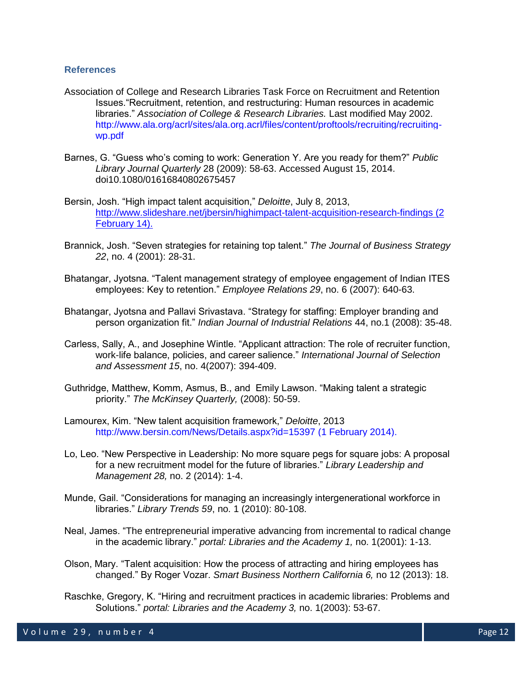#### **References**

- Association of College and Research Libraries Task Force on Recruitment and Retention Issues."Recruitment, retention, and restructuring: Human resources in academic libraries." *Association of College & Research Libraries.* Last modified May 2002. [http://www.ala.org/acrl/sites/ala.org.acrl/files/content/proftools/recruiting/recruiting](http://www.ala.org/acrl/sites/ala.org.acrl/files/content/proftools/recruiting/recruiting-wp.pdf)[wp.pdf](http://www.ala.org/acrl/sites/ala.org.acrl/files/content/proftools/recruiting/recruiting-wp.pdf)
- Barnes, G. "Guess who's coming to work: Generation Y. Are you ready for them?" *Public Library Journal Quarterly* 28 (2009): 58-63. Accessed August 15, 2014. doi10.1080/01616840802675457
- Bersin, Josh. "High impact talent acquisition," *Deloitte*, July 8, 2013, <http://www.slideshare.net/jbersin/highimpact-talent-acquisition-research-findings> (2 February 14).
- Brannick, Josh. "Seven strategies for retaining top talent." *The Journal of Business Strategy 22*, no. 4 (2001): 28-31.
- Bhatangar, Jyotsna. "Talent management strategy of employee engagement of Indian ITES employees: Key to retention." *Employee Relations 29*, no. 6 (2007): 640-63.
- Bhatangar, Jyotsna and Pallavi Srivastava. "Strategy for staffing: Employer branding and person organization fit." *Indian Journal of Industrial Relations* 44, no.1 (2008): 35-48.
- Carless, Sally, A., and Josephine Wintle. "Applicant attraction: The role of recruiter function, work-life balance, policies, and career salience." *International Journal of Selection and Assessment 15*, no. 4(2007): 394-409.
- Guthridge, Matthew, Komm, Asmus, B., and Emily Lawson. "Making talent a strategic priority." *The McKinsey Quarterly,* (2008): 50-59.
- Lamourex, Kim. "New talent acquisition framework," *Deloitte*, 2013 <http://www.bersin.com/News/Details.aspx?id=15397> (1 February 2014).
- Lo, Leo. "New Perspective in Leadership: No more square pegs for square jobs: A proposal for a new recruitment model for the future of libraries." *Library Leadership and Management 28,* no. 2 (2014): 1-4.
- Munde, Gail. "Considerations for managing an increasingly intergenerational workforce in libraries." *Library Trends 59*, no. 1 (2010): 80-108.
- Neal, James. "The entrepreneurial imperative advancing from incremental to radical change in the academic library." *portal: Libraries and the Academy 1,* no. 1(2001): 1-13.
- Olson, Mary. "Talent acquisition: How the process of attracting and hiring employees has changed." By Roger Vozar. *Smart Business Northern California 6,* no 12 (2013): 18.
- Raschke, Gregory, K. "Hiring and recruitment practices in academic libraries: Problems and Solutions." *portal: Libraries and the Academy 3,* no. 1(2003): 53-67.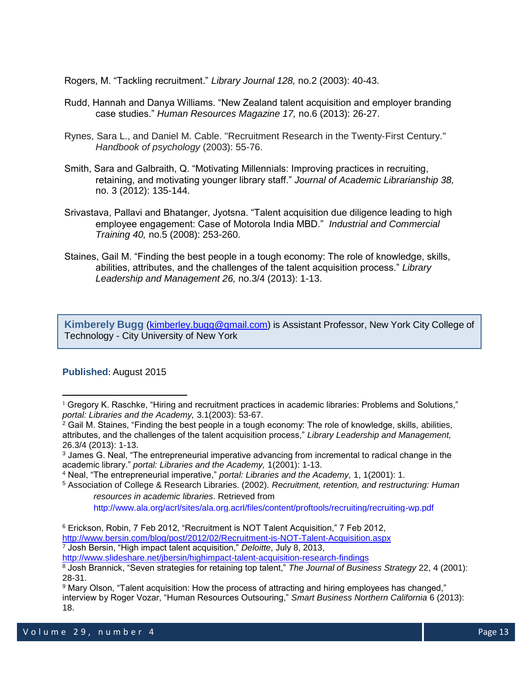Rogers, M. "Tackling recruitment." *Library Journal 128,* no.2 (2003): 40-43.

- Rudd, Hannah and Danya Williams. "New Zealand talent acquisition and employer branding case studies." *Human Resources Magazine 17,* no.6 (2013): 26-27.
- Rynes, Sara L., and Daniel M. Cable. "Recruitment Research in the Twenty‐First Century." *Handbook of psychology* (2003): 55-76.
- Smith, Sara and Galbraith, Q. "Motivating Millennials: Improving practices in recruiting, retaining, and motivating younger library staff." *Journal of Academic Librarianship 38,*  no. 3 (2012): 135-144.
- Srivastava, Pallavi and Bhatanger, Jyotsna. "Talent acquisition due diligence leading to high employee engagement: Case of Motorola India MBD." *Industrial and Commercial Training 40,* no.5 (2008): 253-260.
- Staines, Gail M. "Finding the best people in a tough economy: The role of knowledge, skills, abilities, attributes, and the challenges of the talent acquisition process." *Library Leadership and Management 26,* no.3/4 (2013): 1-13.

**Kimberely Bugg** [\(kimberley.bugg@gmail.com\)](mailto:kimberley.bugg@gmail.com) is Assistant Professor, New York City College of Technology - City University of New York

## **Published**: August 2015

 $\overline{\phantom{a}}$ 

 $1$  Gregory K. Raschke, "Hiring and recruitment practices in academic libraries: Problems and Solutions," *portal: Libraries and the Academy,* 3.1(2003): 53-67.

<sup>&</sup>lt;sup>2</sup> Gail M. Staines, "Finding the best people in a tough economy: The role of knowledge, skills, abilities, attributes, and the challenges of the talent acquisition process," *Library Leadership and Management,*  26.3/4 (2013): 1-13.

<sup>&</sup>lt;sup>3</sup> James G. Neal, "The entrepreneurial imperative advancing from incremental to radical change in the academic library." *portal: Libraries and the Academy,* 1(2001): 1-13.

<sup>4</sup> Neal, "The entrepreneurial imperative," *portal: Libraries and the Academy,* 1, 1(2001): 1.

<sup>5</sup> Association of College & Research Libraries. (2002). *Recruitment, retention, and restructuring: Human resources in academic libraries*. Retrieved from

<http://www.ala.org/acrl/sites/ala.org.acrl/files/content/proftools/recruiting/recruiting-wp.pdf>

<sup>6</sup> Erickson, Robin, 7 Feb 2012, "Recruitment is NOT Talent Acquisition," 7 Feb 2012,

<http://www.bersin.com/blog/post/2012/02/Recruitment-is-NOT-Talent-Acquisition.aspx>

<sup>7</sup> Josh Bersin, "High impact talent acquisition," *Deloitte*, July 8, 2013,

<http://www.slideshare.net/jbersin/highimpact-talent-acquisition-research-findings> <sup>8</sup> Josh Brannick, "Seven strategies for retaining top talent," *The Journal of Business Strategy* 22, 4 (2001): 28-31.

<sup>9</sup> Mary Olson, "Talent acquisition: How the process of attracting and hiring employees has changed," interview by Roger Vozar, "Human Resources Outsouring," *Smart Business Northern California* 6 (2013): 18.